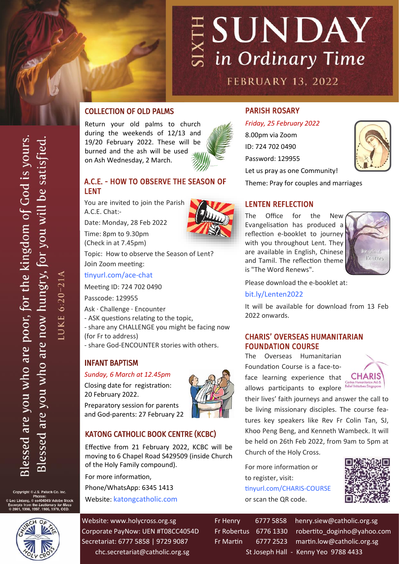

## COLLECTION OF OLD PALMS

Return your old palms to church during the weekends of 12/13 and 19/20 February 2022. These will be burned and the ash will be used on Ash Wednesday, 2 March.

# A.C.E. - HOW TO OBSERVE THE SEASON OF LENT

You are invited to join the Parish A.C.E. Chat:-

Date: Monday, 28 Feb 2022

Time: 8pm to 9.30pm (Check in at 7.45pm)

Topic: How to observe the Season of Lent? Join Zoom meeting:

[tinyurl.com/ace](https://tinyurl.com/ace-chat)-chat

Meeting ID: 724 702 0490

Passcode: 129955

Ask · Challenge · Encounter

- ASK questions relating to the topic,

- share any CHALLENGE you might be facing now (for Fr to address)

- share God-ENCOUNTER stories with others.

# INFANT BAPTISM

#### *Sunday, 6 March at 12.45pm*

Closing date for registration: 20 February 2022.

Preparatory session for parents and God-parents: 27 February 22



## KATONG CATHOLIC BOOK CENTRE (KCBC)

Effective from 21 February 2022, KCBC will be moving to 6 Chapel Road S429509 (inside Church of the Holy Family compound).

For more information, Phone/WhatsApp: 6345 1413 Website: [katongcatholic.com](https://katongcatholic.com)

Website: www.holycross.org.sg Fr Henry 6777 5858 henry.siew@catholic.org.sg Corporate PayNow: UEN #T08CC4054D Fr Robertus 6776 1330 robertito doginho@yahoo.com Secretariat: 6777 5858 | 9729 9087 Fr Martin 6777 2523 martin.low@catholic.org.sg chc.secretariat@catholic.org.sg St Joseph Hall - Kenny Yeo 9788 4433

PARISH ROSARY

*Friday, 25 February 2022* 8.00pm via Zoom ID: 724 702 0490 Password: 129955 Let us pray as one Community!



Theme: Pray for couples and marriages

## LENTEN REFLECTION

The Office for the New Evangelisation has produced a reflection e-booklet to journey with you throughout Lent. They are available in English, Chinese and Tamil. The reflection theme is "The Word Renews".



Please download the e-booklet at:

### [bit.ly/Lenten2022](https://bit.ly/Lenten2022)

It will be available for download from 13 Feb 2022 onwards.

### CHARIS' OVERSEAS HUMANITARIAN FOUNDATION COURSE

The Overseas Humanitarian Foundation Course is a face-toface learning experience that allows participants to explore



their lives' faith journeys and answer the call to be living missionary disciples. The course features key speakers like Rev Fr Colin Tan, SJ, Khoo Peng Beng, and Kenneth Wambeck. It will be held on 26th Feb 2022, from 9am to 5pm at Church of the Holy Cross.

For more information or to register, visit: [tinyurl.com/CHARIS](https://tinyurl.com/CHARIS-COURSE)-COURSE or scan the QR code.



 $6:20-21$ LUKE 6

Copyright © J.S. Paluch Co. Inc.<br>Photos:<br>eo Lintang, © ss404045/ Adobe Stock © Leo Lin s from the *Lectionary for Mas:*<br>1998, 1997, 1986, 1970, CCD.